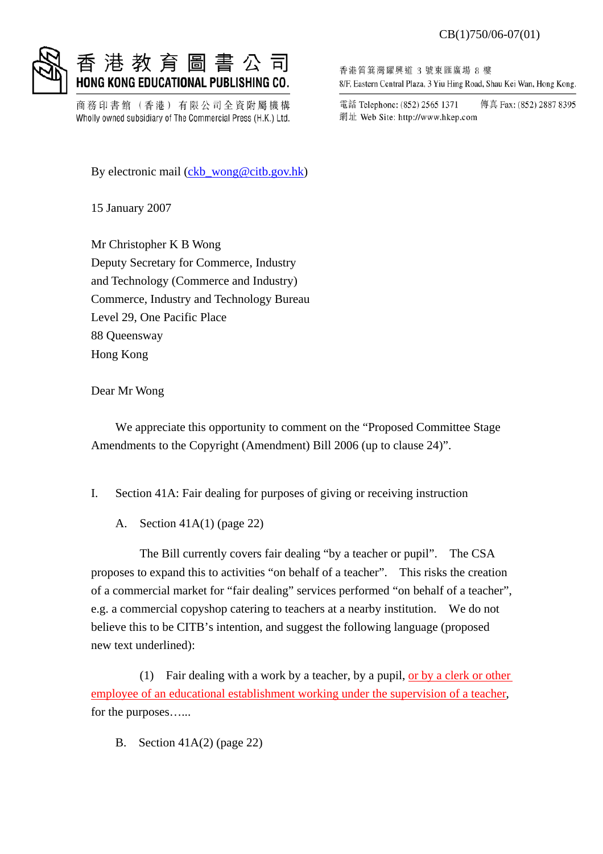#### CB(1)750/06-07(01)



### 教 育 圖 書 公 HONG KONG EDUCATIONAL PUBLISHING CO.

商務印書館(香港)有限公司全資附屬機構 Wholly owned subsidiary of The Commercial Press (H.K.) Ltd.

By electronic mail (ckb\_wong@citb.gov.hk)

15 January 2007

Mr Christopher K B Wong Deputy Secretary for Commerce, Industry and Technology (Commerce and Industry) Commerce, Industry and Technology Bureau Level 29, One Pacific Place 88 Queensway Hong Kong

Dear Mr Wong

 We appreciate this opportunity to comment on the "Proposed Committee Stage Amendments to the Copyright (Amendment) Bill 2006 (up to clause 24)".

- I. Section 41A: Fair dealing for purposes of giving or receiving instruction
	- A. Section 41A(1) (page 22)

 The Bill currently covers fair dealing "by a teacher or pupil". The CSA proposes to expand this to activities "on behalf of a teacher". This risks the creation of a commercial market for "fair dealing" services performed "on behalf of a teacher", e.g. a commercial copyshop catering to teachers at a nearby institution. We do not believe this to be CITB's intention, and suggest the following language (proposed new text underlined):

 (1) Fair dealing with a work by a teacher, by a pupil, or by a clerk or other employee of an educational establishment working under the supervision of a teacher, for the purposes…...

B. Section 41A(2) (page 22)

香港筲箕灣耀興道 3 號東匯廣場 8 樓 8/F, Eastern Central Plaza, 3 Yiu Hing Road, Shau Kei Wan, Hong Kong.

傳真 Fax: (852) 2887 8395 電話 Telephone: (852) 2565 1371 網址 Web Site: http://www.hkep.com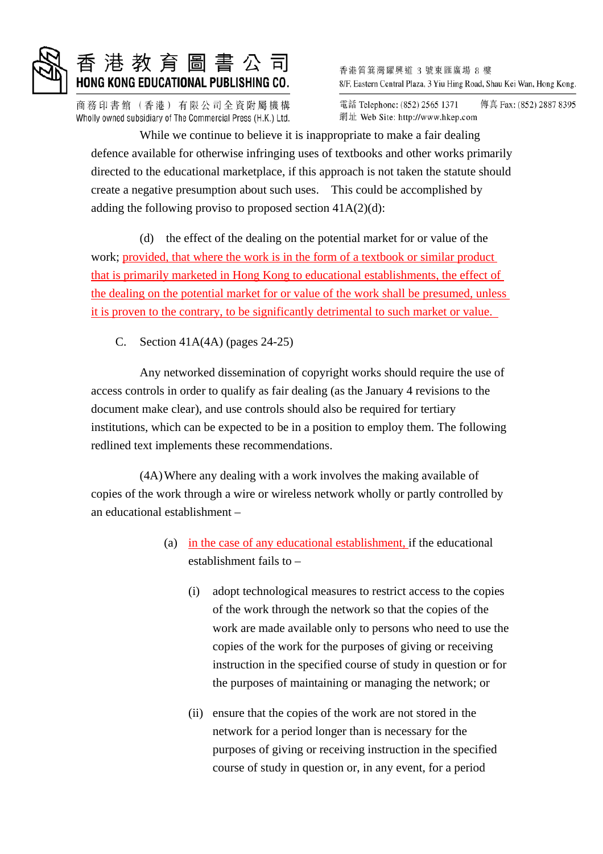

## 港 教 育 圖 書 公 司 HONG KONG EDUCATIONAL PUBLISHING CO.

商務印書館(香港) 有限公司全資附屬機構 Wholly owned subsidiary of The Commercial Press (H.K.) Ltd. 香港筲箕灣耀興道 3 號東匯廣場 8 樓 8/F, Eastern Central Plaza, 3 Yiu Hing Road, Shau Kei Wan, Hong Kong.

電話 Telephone: (852) 2565 1371 傳真 Fax: (852) 2887 8395 網址 Web Site: http://www.hkep.com

 While we continue to believe it is inappropriate to make a fair dealing defence available for otherwise infringing uses of textbooks and other works primarily directed to the educational marketplace, if this approach is not taken the statute should create a negative presumption about such uses. This could be accomplished by adding the following proviso to proposed section  $41A(2)(d)$ :

 (d) the effect of the dealing on the potential market for or value of the work; provided, that where the work is in the form of a textbook or similar product that is primarily marketed in Hong Kong to educational establishments, the effect of the dealing on the potential market for or value of the work shall be presumed, unless it is proven to the contrary, to be significantly detrimental to such market or value.

C. Section 41A(4A) (pages 24-25)

 Any networked dissemination of copyright works should require the use of access controls in order to qualify as fair dealing (as the January 4 revisions to the document make clear), and use controls should also be required for tertiary institutions, which can be expected to be in a position to employ them. The following redlined text implements these recommendations.

 (4A) Where any dealing with a work involves the making available of copies of the work through a wire or wireless network wholly or partly controlled by an educational establishment –

- (a) in the case of any educational establishment, if the educational establishment fails to –
	- (i) adopt technological measures to restrict access to the copies of the work through the network so that the copies of the work are made available only to persons who need to use the copies of the work for the purposes of giving or receiving instruction in the specified course of study in question or for the purposes of maintaining or managing the network; or
	- (ii) ensure that the copies of the work are not stored in the network for a period longer than is necessary for the purposes of giving or receiving instruction in the specified course of study in question or, in any event, for a period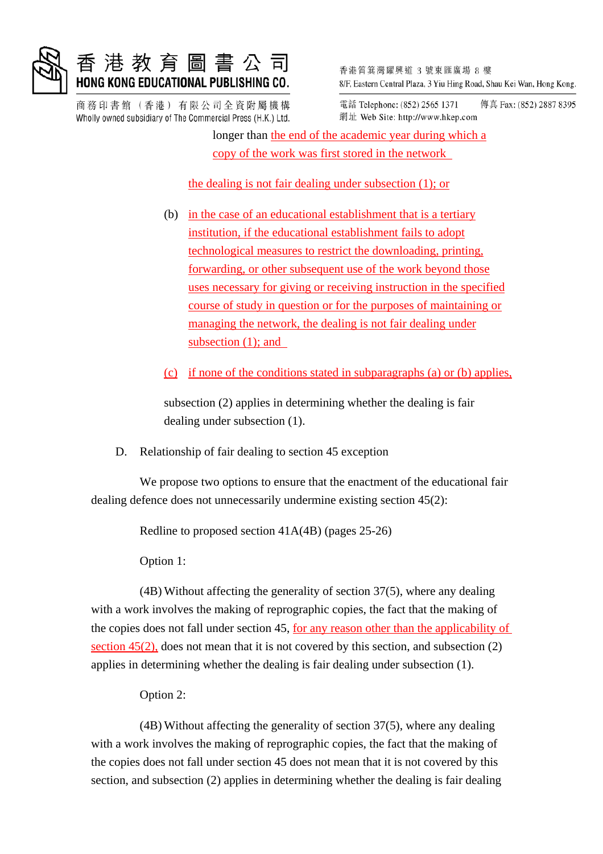

## 教 育 圖 書 公 司 HONG KONG EDUCATIONAL PUBLISHING CO.

商務印書館(香港)有限公司全資附屬機構 Wholly owned subsidiary of The Commercial Press (H.K.) Ltd. 香港筲箕灣耀興道 3 號東匯廣場 8 樓 8/F, Eastern Central Plaza, 3 Yiu Hing Road, Shau Kei Wan, Hong Kong.

電話 Telephone: (852) 2565 1371 傳真 Fax: (852) 2887 8395 網址 Web Site: http://www.hkep.com

 longer than the end of the academic year during which a copy of the work was first stored in the network

the dealing is not fair dealing under subsection (1); or

 (b) in the case of an educational establishment that is a tertiary institution, if the educational establishment fails to adopt technological measures to restrict the downloading, printing, forwarding, or other subsequent use of the work beyond those uses necessary for giving or receiving instruction in the specified course of study in question or for the purposes of maintaining or managing the network, the dealing is not fair dealing under subsection (1); and

(c) if none of the conditions stated in subparagraphs (a) or (b) applies,

 subsection (2) applies in determining whether the dealing is fair dealing under subsection (1).

D. Relationship of fair dealing to section 45 exception

 We propose two options to ensure that the enactment of the educational fair dealing defence does not unnecessarily undermine existing section 45(2):

Redline to proposed section 41A(4B) (pages 25-26)

Option 1:

 (4B) Without affecting the generality of section 37(5), where any dealing with a work involves the making of reprographic copies, the fact that the making of the copies does not fall under section 45, for any reason other than the applicability of section  $45(2)$ , does not mean that it is not covered by this section, and subsection  $(2)$ applies in determining whether the dealing is fair dealing under subsection (1).

Option 2:

 (4B) Without affecting the generality of section 37(5), where any dealing with a work involves the making of reprographic copies, the fact that the making of the copies does not fall under section 45 does not mean that it is not covered by this section, and subsection (2) applies in determining whether the dealing is fair dealing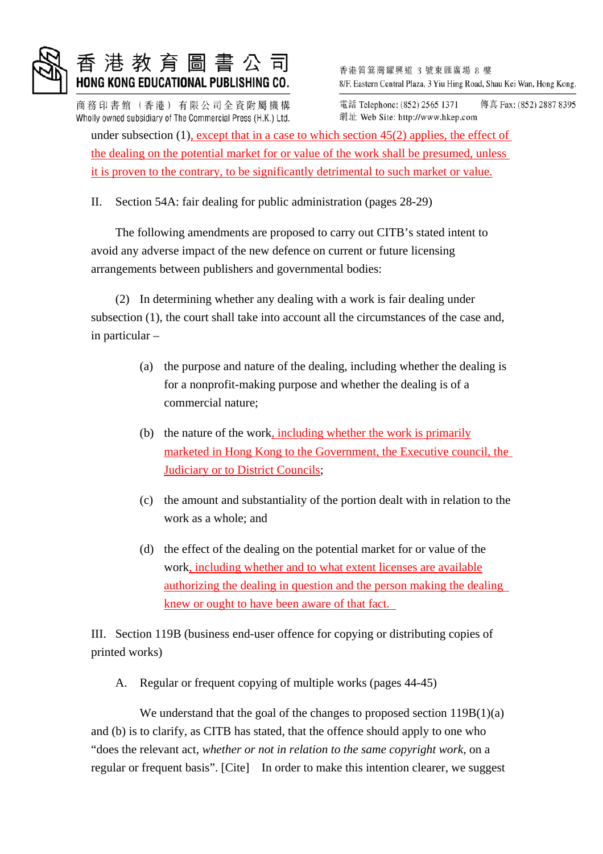

## 港教育圖書公司 HONG KONG EDUCATIONAL PUBLISHING CO.

商務印書館(香港)有限公司全資附屬機構 Wholly owned subsidiary of The Commercial Press (H.K.) Ltd. 香港筲箕灣耀興道 3 號東匯廣場 8 樓 8/F, Eastern Central Plaza, 3 Yiu Hing Road, Shau Kei Wan, Hong Kong.

電話 Telephone: (852) 2565 1371 傳真 Fax: (852) 2887 8395 網址 Web Site: http://www.hkep.com

under subsection (1), except that in a case to which section 45(2) applies, the effect of the dealing on the potential market for or value of the work shall be presumed, unless it is proven to the contrary, to be significantly detrimental to such market or value.

II. Section 54A: fair dealing for public administration (pages 28-29)

 The following amendments are proposed to carry out CITB's stated intent to avoid any adverse impact of the new defence on current or future licensing arrangements between publishers and governmental bodies:

 (2) In determining whether any dealing with a work is fair dealing under subsection (1), the court shall take into account all the circumstances of the case and, in particular –

- (a) the purpose and nature of the dealing, including whether the dealing is for a nonprofit-making purpose and whether the dealing is of a commercial nature;
- (b) the nature of the work, including whether the work is primarily marketed in Hong Kong to the Government, the Executive council, the **Judiciary or to District Councils;**
- (c) the amount and substantiality of the portion dealt with in relation to the work as a whole; and
- (d) the effect of the dealing on the potential market for or value of the work, including whether and to what extent licenses are available authorizing the dealing in question and the person making the dealing knew or ought to have been aware of that fact.

III. Section 119B (business end-user offence for copying or distributing copies of printed works)

A. Regular or frequent copying of multiple works (pages 44-45)

We understand that the goal of the changes to proposed section  $119B(1)(a)$ and (b) is to clarify, as CITB has stated, that the offence should apply to one who "does the relevant act, *whether or not in relation to the same copyright work,* on a regular or frequent basis". [Cite] In order to make this intention clearer, we suggest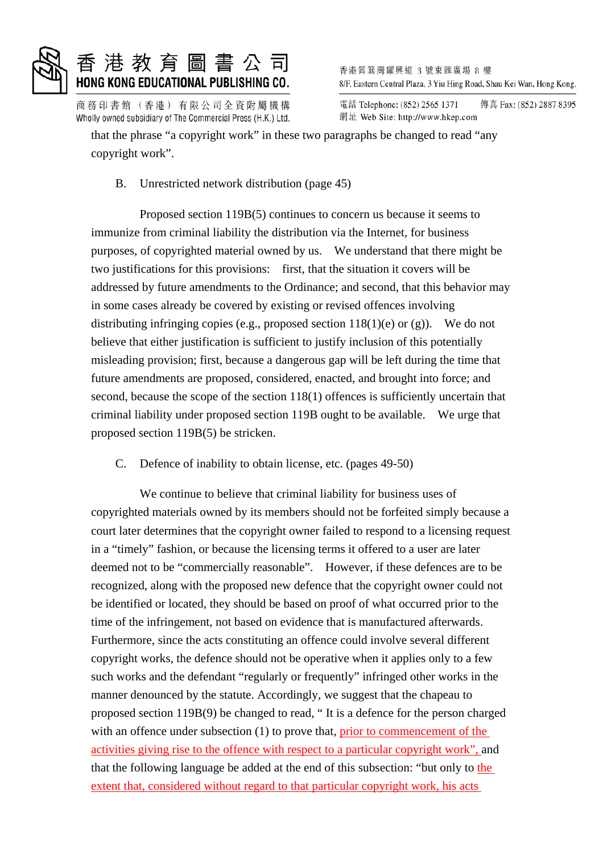

## 港 教 育 圖 書 公 司 HONG KONG EDUCATIONAL PUBLISHING CO.

商務印書館(香港) 有限公司全資附屬機構 Wholly owned subsidiary of The Commercial Press (H.K.) Ltd. 香港筲箕灣耀興道 3 號東匯廣場 8 樓 8/F, Eastern Central Plaza, 3 Yiu Hing Road, Shau Kei Wan, Hong Kong.

電話 Telephone: (852) 2565 1371 傳真 Fax: (852) 2887 8395 網址 Web Site: http://www.hkep.com

that the phrase "a copyright work" in these two paragraphs be changed to read "any copyright work".

B. Unrestricted network distribution (page 45)

 Proposed section 119B(5) continues to concern us because it seems to immunize from criminal liability the distribution via the Internet, for business purposes, of copyrighted material owned by us. We understand that there might be two justifications for this provisions: first, that the situation it covers will be addressed by future amendments to the Ordinance; and second, that this behavior may in some cases already be covered by existing or revised offences involving distributing infringing copies (e.g., proposed section  $118(1)$ (e) or (g)). We do not believe that either justification is sufficient to justify inclusion of this potentially misleading provision; first, because a dangerous gap will be left during the time that future amendments are proposed, considered, enacted, and brought into force; and second, because the scope of the section 118(1) offences is sufficiently uncertain that criminal liability under proposed section 119B ought to be available. We urge that proposed section 119B(5) be stricken.

C. Defence of inability to obtain license, etc. (pages 49-50)

 We continue to believe that criminal liability for business uses of copyrighted materials owned by its members should not be forfeited simply because a court later determines that the copyright owner failed to respond to a licensing request in a "timely" fashion, or because the licensing terms it offered to a user are later deemed not to be "commercially reasonable". However, if these defences are to be recognized, along with the proposed new defence that the copyright owner could not be identified or located, they should be based on proof of what occurred prior to the time of the infringement, not based on evidence that is manufactured afterwards. Furthermore, since the acts constituting an offence could involve several different copyright works, the defence should not be operative when it applies only to a few such works and the defendant "regularly or frequently" infringed other works in the manner denounced by the statute. Accordingly, we suggest that the chapeau to proposed section 119B(9) be changed to read, " It is a defence for the person charged with an offence under subsection (1) to prove that, prior to commencement of the activities giving rise to the offence with respect to a particular copyright work", and that the following language be added at the end of this subsection: "but only to the extent that, considered without regard to that particular copyright work, his acts